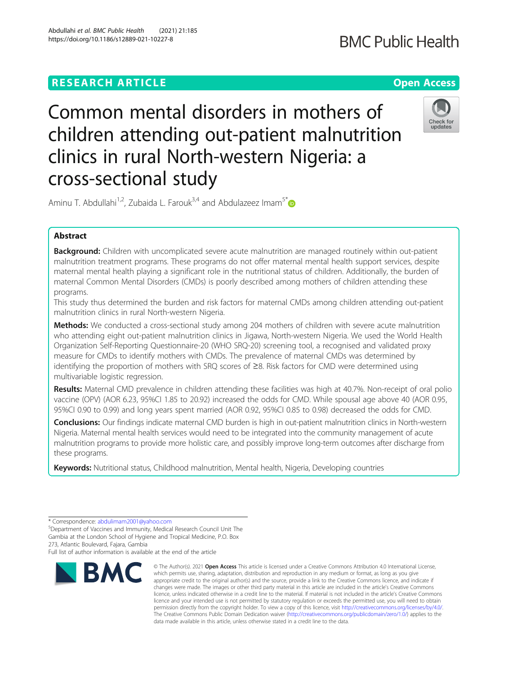# **RESEARCH ARTICLE Example 2014 12:30 The Contract of Contract ACCESS**

# **BMC Public Health**

# Common mental disorders in mothers of children attending out-patient malnutrition clinics in rural North-western Nigeria: a cross-sectional study



Aminu T. Abdullahi<sup>1,2</sup>, Zubaida L. Farouk<sup>3,4</sup> and Abdulazeez Imam<sup>5\*</sup>

# Abstract

**Background:** Children with uncomplicated severe acute malnutrition are managed routinely within out-patient malnutrition treatment programs. These programs do not offer maternal mental health support services, despite maternal mental health playing a significant role in the nutritional status of children. Additionally, the burden of maternal Common Mental Disorders (CMDs) is poorly described among mothers of children attending these programs.

This study thus determined the burden and risk factors for maternal CMDs among children attending out-patient malnutrition clinics in rural North-western Nigeria.

**Methods:** We conducted a cross-sectional study among 204 mothers of children with severe acute malnutrition who attending eight out-patient malnutrition clinics in Jigawa, North-western Nigeria. We used the World Health Organization Self-Reporting Questionnaire-20 (WHO SRQ-20) screening tool, a recognised and validated proxy measure for CMDs to identify mothers with CMDs. The prevalence of maternal CMDs was determined by identifying the proportion of mothers with SRQ scores of ≥8. Risk factors for CMD were determined using multivariable logistic regression.

Results: Maternal CMD prevalence in children attending these facilities was high at 40.7%. Non-receipt of oral polio vaccine (OPV) (AOR 6.23, 95%CI 1.85 to 20.92) increased the odds for CMD. While spousal age above 40 (AOR 0.95, 95%CI 0.90 to 0.99) and long years spent married (AOR 0.92, 95%CI 0.85 to 0.98) decreased the odds for CMD.

Conclusions: Our findings indicate maternal CMD burden is high in out-patient malnutrition clinics in North-western Nigeria. Maternal mental health services would need to be integrated into the community management of acute malnutrition programs to provide more holistic care, and possibly improve long-term outcomes after discharge from these programs.

Keywords: Nutritional status, Childhood malnutrition, Mental health, Nigeria, Developing countries

Full list of author information is available at the end of the article



<sup>©</sup> The Author(s), 2021 **Open Access** This article is licensed under a Creative Commons Attribution 4.0 International License, which permits use, sharing, adaptation, distribution and reproduction in any medium or format, as long as you give appropriate credit to the original author(s) and the source, provide a link to the Creative Commons licence, and indicate if changes were made. The images or other third party material in this article are included in the article's Creative Commons licence, unless indicated otherwise in a credit line to the material. If material is not included in the article's Creative Commons licence and your intended use is not permitted by statutory regulation or exceeds the permitted use, you will need to obtain permission directly from the copyright holder. To view a copy of this licence, visit [http://creativecommons.org/licenses/by/4.0/.](http://creativecommons.org/licenses/by/4.0/) The Creative Commons Public Domain Dedication waiver [\(http://creativecommons.org/publicdomain/zero/1.0/](http://creativecommons.org/publicdomain/zero/1.0/)) applies to the data made available in this article, unless otherwise stated in a credit line to the data.

<sup>\*</sup> Correspondence: [abdulimam2001@yahoo.com](mailto:abdulimam2001@yahoo.com) <sup>5</sup>

Department of Vaccines and Immunity, Medical Research Council Unit The Gambia at the London School of Hygiene and Tropical Medicine, P.O. Box 273, Atlantic Boulevard, Fajara, Gambia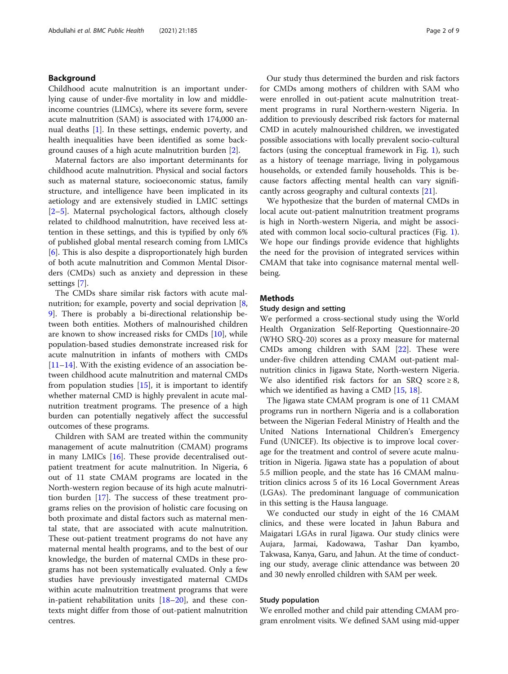# Background

Childhood acute malnutrition is an important underlying cause of under-five mortality in low and middleincome countries (LIMCs), where its severe form, severe acute malnutrition (SAM) is associated with 174,000 annual deaths [[1\]](#page-7-0). In these settings, endemic poverty, and health inequalities have been identified as some background causes of a high acute malnutrition burden [[2](#page-7-0)].

Maternal factors are also important determinants for childhood acute malnutrition. Physical and social factors such as maternal stature, socioeconomic status, family structure, and intelligence have been implicated in its aetiology and are extensively studied in LMIC settings [[2](#page-7-0)–[5\]](#page-7-0). Maternal psychological factors, although closely related to childhood malnutrition, have received less attention in these settings, and this is typified by only 6% of published global mental research coming from LMICs [[6\]](#page-7-0). This is also despite a disproportionately high burden of both acute malnutrition and Common Mental Disorders (CMDs) such as anxiety and depression in these settings [[7\]](#page-7-0).

The CMDs share similar risk factors with acute mal-nutrition; for example, poverty and social deprivation [\[8](#page-7-0), [9\]](#page-8-0). There is probably a bi-directional relationship between both entities. Mothers of malnourished children are known to show increased risks for CMDs [[10](#page-8-0)], while population-based studies demonstrate increased risk for acute malnutrition in infants of mothers with CMDs [[11](#page-8-0)–[14](#page-8-0)]. With the existing evidence of an association between childhood acute malnutrition and maternal CMDs from population studies  $[15]$  $[15]$ , it is important to identify whether maternal CMD is highly prevalent in acute malnutrition treatment programs. The presence of a high burden can potentially negatively affect the successful outcomes of these programs.

Children with SAM are treated within the community management of acute malnutrition (CMAM) programs in many LMICs [[16\]](#page-8-0). These provide decentralised outpatient treatment for acute malnutrition. In Nigeria, 6 out of 11 state CMAM programs are located in the North-western region because of its high acute malnutrition burden [[17](#page-8-0)]. The success of these treatment programs relies on the provision of holistic care focusing on both proximate and distal factors such as maternal mental state, that are associated with acute malnutrition. These out-patient treatment programs do not have any maternal mental health programs, and to the best of our knowledge, the burden of maternal CMDs in these programs has not been systematically evaluated. Only a few studies have previously investigated maternal CMDs within acute malnutrition treatment programs that were in-patient rehabilitation units  $[18–20]$  $[18–20]$  $[18–20]$  $[18–20]$  $[18–20]$ , and these contexts might differ from those of out-patient malnutrition centres.

Our study thus determined the burden and risk factors for CMDs among mothers of children with SAM who were enrolled in out-patient acute malnutrition treatment programs in rural Northern-western Nigeria. In addition to previously described risk factors for maternal CMD in acutely malnourished children, we investigated possible associations with locally prevalent socio-cultural factors (using the conceptual framework in Fig. [1\)](#page-2-0), such as a history of teenage marriage, living in polygamous households, or extended family households. This is because factors affecting mental health can vary significantly across geography and cultural contexts [[21](#page-8-0)].

We hypothesize that the burden of maternal CMDs in local acute out-patient malnutrition treatment programs is high in North-western Nigeria, and might be associated with common local socio-cultural practices (Fig. [1](#page-2-0)). We hope our findings provide evidence that highlights the need for the provision of integrated services within CMAM that take into cognisance maternal mental wellbeing.

# **Methods**

# Study design and setting

We performed a cross-sectional study using the World Health Organization Self-Reporting Questionnaire-20 (WHO SRQ-20) scores as a proxy measure for maternal CMDs among children with SAM [[22\]](#page-8-0). These were under-five children attending CMAM out-patient malnutrition clinics in Jigawa State, North-western Nigeria. We also identified risk factors for an SRQ score  $\geq 8$ , which we identified as having a CMD [[15,](#page-8-0) [18\]](#page-8-0).

The Jigawa state CMAM program is one of 11 CMAM programs run in northern Nigeria and is a collaboration between the Nigerian Federal Ministry of Health and the United Nations International Children's Emergency Fund (UNICEF). Its objective is to improve local coverage for the treatment and control of severe acute malnutrition in Nigeria. Jigawa state has a population of about 5.5 million people, and the state has 16 CMAM malnutrition clinics across 5 of its 16 Local Government Areas (LGAs). The predominant language of communication in this setting is the Hausa language.

We conducted our study in eight of the 16 CMAM clinics, and these were located in Jahun Babura and Maigatari LGAs in rural Jigawa. Our study clinics were Aujara, Jarmai, Kadowawa, Tashar Dan kyambo, Takwasa, Kanya, Garu, and Jahun. At the time of conducting our study, average clinic attendance was between 20 and 30 newly enrolled children with SAM per week.

# Study population

We enrolled mother and child pair attending CMAM program enrolment visits. We defined SAM using mid-upper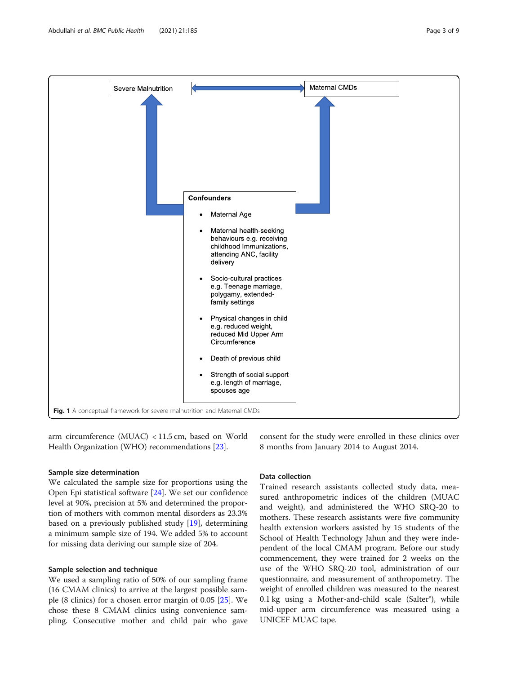<span id="page-2-0"></span>

arm circumference (MUAC) < 11.5 cm, based on World Health Organization (WHO) recommendations [[23](#page-8-0)].

#### Sample size determination

We calculated the sample size for proportions using the Open Epi statistical software [[24\]](#page-8-0). We set our confidence level at 90%, precision at 5% and determined the proportion of mothers with common mental disorders as 23.3% based on a previously published study [\[19\]](#page-8-0), determining a minimum sample size of 194. We added 5% to account for missing data deriving our sample size of 204.

# Sample selection and technique

We used a sampling ratio of 50% of our sampling frame (16 CMAM clinics) to arrive at the largest possible sample (8 clinics) for a chosen error margin of 0.05 [\[25\]](#page-8-0). We chose these 8 CMAM clinics using convenience sampling. Consecutive mother and child pair who gave

# Data collection

Trained research assistants collected study data, measured anthropometric indices of the children (MUAC and weight), and administered the WHO SRQ-20 to mothers. These research assistants were five community health extension workers assisted by 15 students of the School of Health Technology Jahun and they were independent of the local CMAM program. Before our study commencement, they were trained for 2 weeks on the use of the WHO SRQ-20 tool, administration of our questionnaire, and measurement of anthropometry. The weight of enrolled children was measured to the nearest 0.1 kg using a Mother-and-child scale (Salter®), while mid-upper arm circumference was measured using a UNICEF MUAC tape.

8 months from January 2014 to August 2014.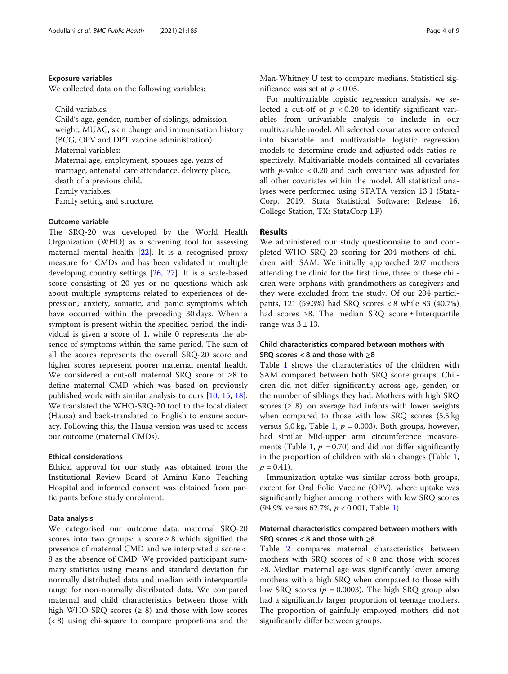#### Exposure variables

We collected data on the following variables:

Child variables:

Child's age, gender, number of siblings, admission weight, MUAC, skin change and immunisation history (BCG, OPV and DPT vaccine administration). Maternal variables: Maternal age, employment, spouses age, years of marriage, antenatal care attendance, delivery place, death of a previous child, Family variables: Family setting and structure.

# Outcome variable

The SRQ-20 was developed by the World Health Organization (WHO) as a screening tool for assessing maternal mental health [\[22\]](#page-8-0). It is a recognised proxy measure for CMDs and has been validated in multiple developing country settings [\[26,](#page-8-0) [27](#page-8-0)]. It is a scale-based score consisting of 20 yes or no questions which ask about multiple symptoms related to experiences of depression, anxiety, somatic, and panic symptoms which have occurred within the preceding 30 days. When a symptom is present within the specified period, the individual is given a score of 1, while 0 represents the absence of symptoms within the same period. The sum of all the scores represents the overall SRQ-20 score and higher scores represent poorer maternal mental health. We considered a cut-off maternal SRQ score of ≥8 to define maternal CMD which was based on previously published work with similar analysis to ours [\[10,](#page-8-0) [15](#page-8-0), [18](#page-8-0)]. We translated the WHO-SRQ-20 tool to the local dialect (Hausa) and back-translated to English to ensure accuracy. Following this, the Hausa version was used to access our outcome (maternal CMDs).

# Ethical considerations

Ethical approval for our study was obtained from the Institutional Review Board of Aminu Kano Teaching Hospital and informed consent was obtained from participants before study enrolment.

### Data analysis

We categorised our outcome data, maternal SRQ-20 scores into two groups: a score  $\geq 8$  which signified the presence of maternal CMD and we interpreted a score < 8 as the absence of CMD. We provided participant summary statistics using means and standard deviation for normally distributed data and median with interquartile range for non-normally distributed data. We compared maternal and child characteristics between those with high WHO SRQ scores  $(≥ 8)$  and those with low scores (< 8) using chi-square to compare proportions and the Man-Whitney U test to compare medians. Statistical significance was set at  $p < 0.05$ .

For multivariable logistic regression analysis, we selected a cut-off of  $p < 0.20$  to identify significant variables from univariable analysis to include in our multivariable model. All selected covariates were entered into bivariable and multivariable logistic regression models to determine crude and adjusted odds ratios respectively. Multivariable models contained all covariates with  $p$ -value < 0.20 and each covariate was adjusted for all other covariates within the model. All statistical analyses were performed using STATA version 13.1 (Stata-Corp. 2019. Stata Statistical Software: Release 16. College Station, TX: StataCorp LP).

# Results

We administered our study questionnaire to and completed WHO SRQ-20 scoring for 204 mothers of children with SAM. We initially approached 207 mothers attending the clinic for the first time, three of these children were orphans with grandmothers as caregivers and they were excluded from the study. Of our 204 participants, 121 (59.3%) had SRQ scores < 8 while 83 (40.7%) had scores  $\geq 8$ . The median SRQ score ± Interquartile range was  $3 \pm 13$ .

# Child characteristics compared between mothers with SRQ scores  $< 8$  and those with  $\geq 8$

Table [1](#page-4-0) shows the characteristics of the children with SAM compared between both SRQ score groups. Children did not differ significantly across age, gender, or the number of siblings they had. Mothers with high SRQ scores ( $\geq$  8), on average had infants with lower weights when compared to those with low SRQ scores (5.5 kg versus 6.0 kg, Table [1,](#page-4-0)  $p = 0.003$ ). Both groups, however, had similar Mid-upper arm circumference measure-ments (Table [1,](#page-4-0)  $p = 0.70$ ) and did not differ significantly in the proportion of children with skin changes (Table [1](#page-4-0),  $p = 0.41$ .

Immunization uptake was similar across both groups, except for Oral Polio Vaccine (OPV), where uptake was significantly higher among mothers with low SRQ scores  $(94.9\% \text{ versus } 62.7\%, p < 0.001, \text{ Table } 1).$  $(94.9\% \text{ versus } 62.7\%, p < 0.001, \text{ Table } 1).$  $(94.9\% \text{ versus } 62.7\%, p < 0.001, \text{ Table } 1).$ 

# Maternal characteristics compared between mothers with SRQ scores  $< 8$  and those with  $\geq 8$

Table [2](#page-5-0) compares maternal characteristics between mothers with SRQ scores of  $< 8$  and those with scores ≥8. Median maternal age was significantly lower among mothers with a high SRQ when compared to those with low SRQ scores ( $p = 0.0003$ ). The high SRQ group also had a significantly larger proportion of teenage mothers. The proportion of gainfully employed mothers did not significantly differ between groups.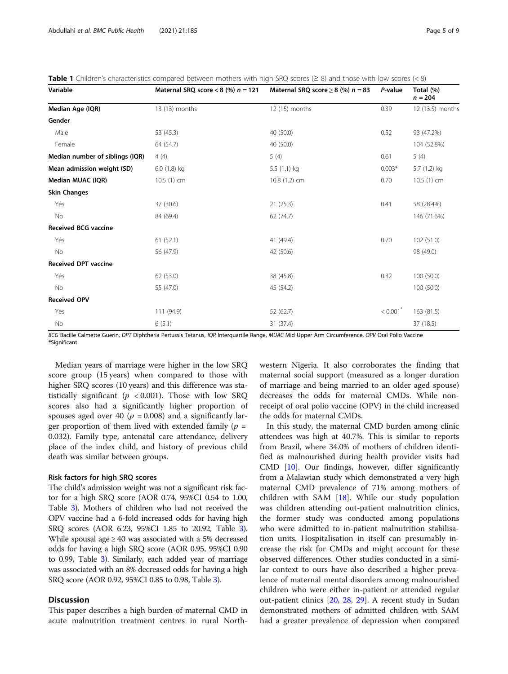| Variable                        | Maternal SRQ score $<$ 8 (%) $n = 121$ | Maternal SRQ score $\geq$ 8 (%) $n = 83$ | P-value                | Total (%)<br>$n = 204$ |
|---------------------------------|----------------------------------------|------------------------------------------|------------------------|------------------------|
| Median Age (IQR)                | 13 (13) months                         | 12 (15) months                           | 0.39                   | 12 (13.5) months       |
| Gender                          |                                        |                                          |                        |                        |
| Male                            | 53 (45.3)                              | 40 (50.0)                                | 0.52                   | 93 (47.2%)             |
| Female                          | 64 (54.7)                              | 40 (50.0)                                |                        | 104 (52.8%)            |
| Median number of siblings (IQR) | 4(4)                                   | 5(4)                                     | 0.61                   | 5(4)                   |
| Mean admission weight (SD)      | 6.0 (1.8) kg                           | 5.5 (1.1) kg                             | $0.003*$               | 5.7 (1.2) kg           |
| Median MUAC (IQR)               | 10.5 (1) cm                            | 10.8 (1.2) cm                            | 0.70                   | $10.5(1)$ cm           |
| <b>Skin Changes</b>             |                                        |                                          |                        |                        |
| Yes                             | 37 (30.6)                              | 21(25.3)                                 | 0.41                   | 58 (28.4%)             |
| No                              | 84 (69.4)                              | 62 (74.7)                                |                        | 146 (71.6%)            |
| <b>Received BCG vaccine</b>     |                                        |                                          |                        |                        |
| Yes                             | 61(52.1)                               | 41 (49.4)                                | 0.70                   | 102 (51.0)             |
| No                              | 56 (47.9)                              | 42 (50.6)                                |                        | 98 (49.0)              |
| <b>Received DPT vaccine</b>     |                                        |                                          |                        |                        |
| Yes                             | 62 (53.0)                              | 38 (45.8)                                | 0.32                   | 100 (50.0)             |
| No                              | 55 (47.0)                              | 45 (54.2)                                |                        | 100 (50.0)             |
| <b>Received OPV</b>             |                                        |                                          |                        |                        |
| Yes                             | 111 (94.9)                             | 52 (62.7)                                | $< 0.001$ <sup>*</sup> | 163 (81.5)             |
| No                              | 6(5.1)                                 | 31 (37.4)                                |                        | 37 (18.5)              |

<span id="page-4-0"></span>Table 1 Children's characteristics compared between mothers with high SRQ scores ( $\geq 8$ ) and those with low scores (< 8)

BCG Bacille Calmette Guerin, DPT Diphtheria Pertussis Tetanus, IQR Interquartile Range, MUAC Mid Upper Arm Circumference, OPV Oral Polio Vaccine \*Significant

Median years of marriage were higher in the low SRQ score group (15 years) when compared to those with higher SRQ scores (10 years) and this difference was statistically significant ( $p < 0.001$ ). Those with low SRQ scores also had a significantly higher proportion of spouses aged over 40 ( $p = 0.008$ ) and a significantly larger proportion of them lived with extended family ( $p =$ 0.032). Family type, antenatal care attendance, delivery place of the index child, and history of previous child death was similar between groups.

# Risk factors for high SRQ scores

The child's admission weight was not a significant risk factor for a high SRQ score (AOR 0.74, 95%CI 0.54 to 1.00, Table [3\)](#page-6-0). Mothers of children who had not received the OPV vaccine had a 6-fold increased odds for having high SRQ scores (AOR 6.23, 95%CI 1.85 to 20.92, Table [3](#page-6-0)). While spousal age  $\geq 40$  was associated with a 5% decreased odds for having a high SRQ score (AOR 0.95, 95%CI 0.90 to 0.99, Table [3\)](#page-6-0). Similarly, each added year of marriage was associated with an 8% decreased odds for having a high SRQ score (AOR 0.92, 95%CI 0.85 to 0.98, Table [3\)](#page-6-0).

# **Discussion**

This paper describes a high burden of maternal CMD in acute malnutrition treatment centres in rural Northwestern Nigeria. It also corroborates the finding that maternal social support (measured as a longer duration of marriage and being married to an older aged spouse) decreases the odds for maternal CMDs. While nonreceipt of oral polio vaccine (OPV) in the child increased the odds for maternal CMDs.

In this study, the maternal CMD burden among clinic attendees was high at 40.7%. This is similar to reports from Brazil, where 34.0% of mothers of children identified as malnourished during health provider visits had CMD [[10](#page-8-0)]. Our findings, however, differ significantly from a Malawian study which demonstrated a very high maternal CMD prevalence of 71% among mothers of children with SAM [[18\]](#page-8-0). While our study population was children attending out-patient malnutrition clinics, the former study was conducted among populations who were admitted to in-patient malnutrition stabilisation units. Hospitalisation in itself can presumably increase the risk for CMDs and might account for these observed differences. Other studies conducted in a similar context to ours have also described a higher prevalence of maternal mental disorders among malnourished children who were either in-patient or attended regular out-patient clinics [\[20](#page-8-0), [28,](#page-8-0) [29](#page-8-0)]. A recent study in Sudan demonstrated mothers of admitted children with SAM had a greater prevalence of depression when compared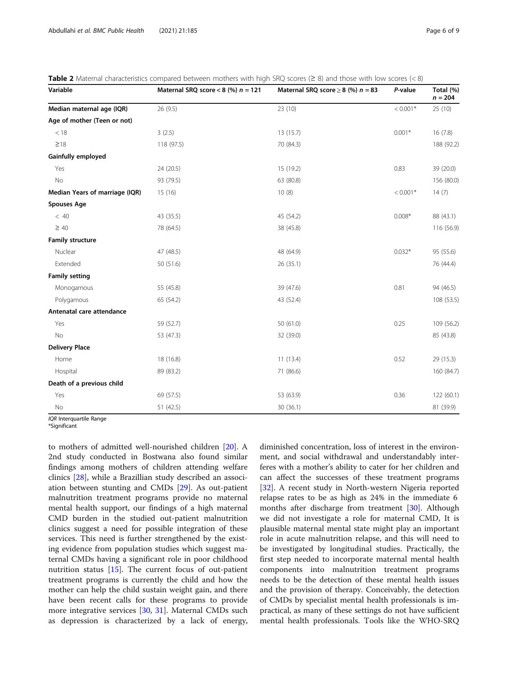| Variable                       | Maternal SRQ score < 8 (%) $n = 121$ | Maternal SRQ score $\geq$ 8 (%) $n = 83$ | P-value    | Total (%)<br>$n = 204$ |
|--------------------------------|--------------------------------------|------------------------------------------|------------|------------------------|
| Median maternal age (IQR)      | 26 (9.5)                             | 23 (10)                                  | $< 0.001*$ | 25 (10)                |
| Age of mother (Teen or not)    |                                      |                                          |            |                        |
| < 18                           | 3(2.5)                               | 13 (15.7)                                | $0.001*$   | 16(7.8)                |
| $\geq$ 18                      | 118 (97.5)                           | 70 (84.3)                                |            |                        |
| Gainfully employed             |                                      |                                          |            |                        |
| Yes                            | 24 (20.5)                            | 15 (19.2)                                | 0.83       | 39 (20.0)              |
| No                             | 93 (79.5)                            | 63 (80.8)                                |            | 156 (80.0)             |
| Median Years of marriage (IQR) | 15(16)                               | 10(8)                                    | $< 0.001*$ |                        |
| <b>Spouses Age</b>             |                                      |                                          |            |                        |
| < 40                           | 43 (35.5)                            | 45 (54.2)                                | $0.008*$   | 88 (43.1)              |
| $\geq 40$                      | 78 (64.5)                            | 38 (45.8)                                |            | 116 (56.9)             |
| <b>Family structure</b>        |                                      |                                          |            |                        |
| Nuclear                        | 47 (48.5)                            | 48 (64.9)                                | $0.032*$   | 95 (55.6)              |
| Extended                       | 50 (51.6)                            | 26(35.1)                                 |            | 76 (44.4)              |
| <b>Family setting</b>          |                                      |                                          |            |                        |
| Monogamous                     | 55 (45.8)                            | 39 (47.6)                                | 0.81       |                        |
| Polygamous                     | 65 (54.2)                            | 43 (52.4)                                |            |                        |
| Antenatal care attendance      |                                      |                                          |            |                        |
| Yes                            | 59 (52.7)                            | 50 (61.0)                                | 0.25       | 109 (56.2)             |
| No                             | 53 (47.3)                            | 32 (39.0)                                |            | 85 (43.8)              |
| <b>Delivery Place</b>          |                                      |                                          |            |                        |
| Home                           | 18 (16.8)                            | 11(13.4)                                 | 0.52       | 29 (15.3)              |
| Hospital                       | 89 (83.2)                            | 71 (86.6)                                |            | 160 (84.7)             |
| Death of a previous child      |                                      |                                          |            |                        |
| Yes                            | 69 (57.5)                            | 53 (63.9)                                | 0.36       | 122 (60.1)             |
| No                             | 51 (42.5)                            | 30(36.1)                                 |            | 81 (39.9)              |

<span id="page-5-0"></span>

| Table 2 Maternal characteristics compared between mothers with high SRQ scores ( $\geq 8$ ) and those with low scores (<8) |  |  |  |  |
|----------------------------------------------------------------------------------------------------------------------------|--|--|--|--|
|----------------------------------------------------------------------------------------------------------------------------|--|--|--|--|

IQR Interquartile Range

\*Significant

to mothers of admitted well-nourished children [\[20](#page-8-0)]. A 2nd study conducted in Bostwana also found similar findings among mothers of children attending welfare clinics [[28\]](#page-8-0), while a Brazillian study described an association between stunting and CMDs [[29\]](#page-8-0). As out-patient malnutrition treatment programs provide no maternal mental health support, our findings of a high maternal CMD burden in the studied out-patient malnutrition clinics suggest a need for possible integration of these services. This need is further strengthened by the existing evidence from population studies which suggest maternal CMDs having a significant role in poor childhood nutrition status [[15](#page-8-0)]. The current focus of out-patient treatment programs is currently the child and how the mother can help the child sustain weight gain, and there have been recent calls for these programs to provide more integrative services [\[30](#page-8-0), [31\]](#page-8-0). Maternal CMDs such as depression is characterized by a lack of energy,

diminished concentration, loss of interest in the environment, and social withdrawal and understandably interferes with a mother's ability to cater for her children and can affect the successes of these treatment programs [[32\]](#page-8-0). A recent study in North-western Nigeria reported relapse rates to be as high as 24% in the immediate 6 months after discharge from treatment [\[30\]](#page-8-0). Although we did not investigate a role for maternal CMD, It is plausible maternal mental state might play an important role in acute malnutrition relapse, and this will need to be investigated by longitudinal studies. Practically, the first step needed to incorporate maternal mental health components into malnutrition treatment programs needs to be the detection of these mental health issues and the provision of therapy. Conceivably, the detection of CMDs by specialist mental health professionals is impractical, as many of these settings do not have sufficient mental health professionals. Tools like the WHO-SRQ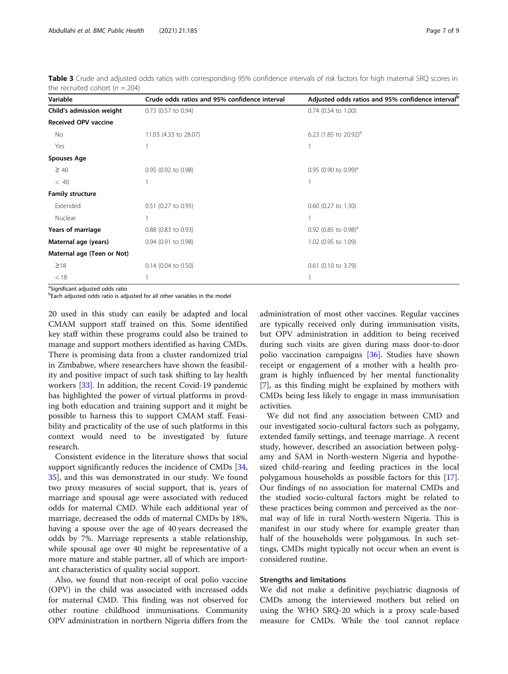| Variable                                                                                          | Crude odds ratios and 95% confidence interval | Adjusted odds ratios and 95% confidence interval <sup>b</sup> |  |
|---------------------------------------------------------------------------------------------------|-----------------------------------------------|---------------------------------------------------------------|--|
| Child's admission weight                                                                          | 0.73 (0.57 to 0.94)                           | 0.74 (0.54 to 1.00)                                           |  |
| <b>Received OPV vaccine</b>                                                                       |                                               |                                                               |  |
| No                                                                                                | 11.03 (4.33 to 28.07)                         | 6.23 (1.85 to 20.92) <sup>a</sup>                             |  |
| Yes                                                                                               |                                               |                                                               |  |
| <b>Spouses Age</b>                                                                                |                                               |                                                               |  |
| $\geq 40$                                                                                         | 0.95 (0.92 to 0.98)                           | 0.95 (0.90 to 0.99) <sup>a</sup>                              |  |
| < 40                                                                                              |                                               |                                                               |  |
| <b>Family structure</b>                                                                           |                                               |                                                               |  |
| Extended                                                                                          | 0.51 (0.27 to 0.95)                           | 0.60 (0.27 to 1.30)                                           |  |
| Nuclear                                                                                           |                                               |                                                               |  |
| Years of marriage                                                                                 | 0.88 (0.83 to 0.93)                           | 0.92 (0.85 to 0.98) <sup>a</sup>                              |  |
| Maternal age (years)                                                                              | 0.94 (0.91 to 0.98)                           | 1.02 (0.95 to 1.09)                                           |  |
| Maternal age (Teen or Not)                                                                        |                                               |                                                               |  |
| $\geq$ 18                                                                                         | $0.14$ (0.04 to 0.50)                         | 0.61 (0.10 to 3.79)                                           |  |
| < 18                                                                                              |                                               |                                                               |  |
| $\partial \sigma_1$ , $\sigma_2$ , $\sigma_3$ , $\sigma_4$ , $\sigma_5$ , $\sigma_6$ , $\sigma_7$ |                                               |                                                               |  |

<span id="page-6-0"></span>Table 3 Crude and adjusted odds ratios with corresponding 95% confidence intervals of risk factors for high maternal SRQ scores in the recruited cohort ( $n = 204$ )

<sup>a</sup>Significant adjusted odds ratio

<sup>b</sup>Each adjusted odds ratio is adjusted for all other variables in the model

20 used in this study can easily be adapted and local CMAM support staff trained on this. Some identified key staff within these programs could also be trained to manage and support mothers identified as having CMDs. There is promising data from a cluster randomized trial in Zimbabwe, where researchers have shown the feasibility and positive impact of such task shifting to lay health workers [[33](#page-8-0)]. In addition, the recent Covid-19 pandemic has highlighted the power of virtual platforms in provding both education and training support and it might be possible to harness this to support CMAM staff. Feasibility and practicality of the use of such platforms in this context would need to be investigated by future research.

Consistent evidence in the literature shows that social support significantly reduces the incidence of CMDs [[34](#page-8-0), [35\]](#page-8-0), and this was demonstrated in our study. We found two proxy measures of social support, that is, years of marriage and spousal age were associated with reduced odds for maternal CMD. While each additional year of marriage, decreased the odds of maternal CMDs by 18%, having a spouse over the age of 40 years decreased the odds by 7%. Marriage represents a stable relationship, while spousal age over 40 might be representative of a more mature and stable partner, all of which are important characteristics of quality social support.

Also, we found that non-receipt of oral polio vaccine (OPV) in the child was associated with increased odds for maternal CMD. This finding was not observed for other routine childhood immunisations. Community OPV administration in northern Nigeria differs from the

administration of most other vaccines. Regular vaccines are typically received only during immunisation visits, but OPV administration in addition to being received during such visits are given during mass door-to-door polio vaccination campaigns [\[36](#page-8-0)]. Studies have shown receipt or engagement of a mother with a health program is highly influenced by her mental functionality [[7\]](#page-7-0), as this finding might be explained by mothers with CMDs being less likely to engage in mass immunisation activities.

We did not find any association between CMD and our investigated socio-cultural factors such as polygamy, extended family settings, and teenage marriage. A recent study, however, described an association between polygamy and SAM in North-western Nigeria and hypothesized child-rearing and feeding practices in the local polygamous households as possible factors for this [\[17](#page-8-0)]. Our findings of no association for maternal CMDs and the studied socio-cultural factors might be related to these practices being common and perceived as the normal way of life in rural North-western Nigeria. This is manifest in our study where for example greater than half of the households were polygamous. In such settings, CMDs might typically not occur when an event is considered routine.

# Strengths and limitations

We did not make a definitive psychiatric diagnosis of CMDs among the interviewed mothers but relied on using the WHO SRQ-20 which is a proxy scale-based measure for CMDs. While the tool cannot replace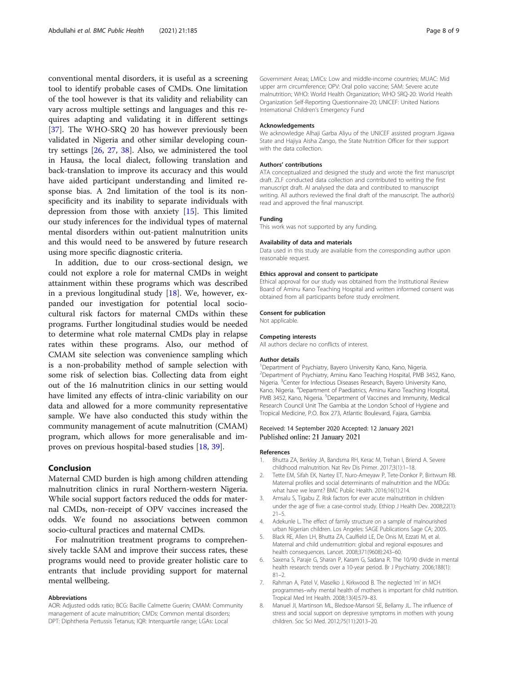<span id="page-7-0"></span>conventional mental disorders, it is useful as a screening tool to identify probable cases of CMDs. One limitation of the tool however is that its validity and reliability can vary across multiple settings and languages and this requires adapting and validating it in different settings [[37\]](#page-8-0). The WHO-SRQ 20 has however previously been validated in Nigeria and other similar developing country settings [\[26,](#page-8-0) [27,](#page-8-0) [38\]](#page-8-0). Also, we administered the tool in Hausa, the local dialect, following translation and back-translation to improve its accuracy and this would have aided participant understanding and limited response bias. A 2nd limitation of the tool is its nonspecificity and its inability to separate individuals with depression from those with anxiety [\[15\]](#page-8-0). This limited our study inferences for the individual types of maternal mental disorders within out-patient malnutrition units and this would need to be answered by future research using more specific diagnostic criteria.

In addition, due to our cross-sectional design, we could not explore a role for maternal CMDs in weight attainment within these programs which was described in a previous longitudinal study  $[18]$  $[18]$ . We, however, expanded our investigation for potential local sociocultural risk factors for maternal CMDs within these programs. Further longitudinal studies would be needed to determine what role maternal CMDs play in relapse rates within these programs. Also, our method of CMAM site selection was convenience sampling which is a non-probability method of sample selection with some risk of selection bias. Collecting data from eight out of the 16 malnutrition clinics in our setting would have limited any effects of intra-clinic variability on our data and allowed for a more community representative sample. We have also conducted this study within the community management of acute malnutrition (CMAM) program, which allows for more generalisable and improves on previous hospital-based studies [\[18,](#page-8-0) [39\]](#page-8-0).

# Conclusion

Maternal CMD burden is high among children attending malnutrition clinics in rural Northern-western Nigeria. While social support factors reduced the odds for maternal CMDs, non-receipt of OPV vaccines increased the odds. We found no associations between common socio-cultural practices and maternal CMDs.

For malnutrition treatment programs to comprehensively tackle SAM and improve their success rates, these programs would need to provide greater holistic care to entrants that include providing support for maternal mental wellbeing.

#### Abbreviations

AOR: Adjusted odds ratio; BCG: Bacille Calmette Guerin; CMAM: Community management of acute malnutrition; CMDs: Common mental disorders; DPT: Diphtheria Pertussis Tetanus; IQR: Interquartile range; LGAs: Local

Government Areas; LMICs: Low and middle-income countries; MUAC: Mid upper arm circumference; OPV: Oral polio vaccine; SAM: Severe acute malnutrition; WHO: World Health Organization; WHO SRQ-20: World Health Organization Self-Reporting Questionnaire-20; UNICEF: United Nations International Children's Emergency Fund

#### Acknowledgements

We acknowledge Alhaji Garba Aliyu of the UNICEF assisted program Jigawa State and Hajiya Aisha Zango, the State Nutrition Officer for their support with the data collection.

#### Authors' contributions

ATA conceptualized and designed the study and wrote the first manuscript draft. ZLF conducted data collection and contributed to writing the first manuscript draft. AI analysed the data and contributed to manuscript writing. All authors reviewed the final draft of the manuscript. The author(s) read and approved the final manuscript.

#### Funding

This work was not supported by any funding.

#### Availability of data and materials

Data used in this study are available from the corresponding author upon reasonable request.

#### Ethics approval and consent to participate

Ethical approval for our study was obtained from the Institutional Review Board of Aminu Kano Teaching Hospital and written informed consent was obtained from all participants before study enrolment.

#### Consent for publication

Not applicable.

#### Competing interests

All authors declare no conflicts of interest.

#### Author details

<sup>1</sup> Department of Psychiatry, Bayero University Kano, Kano, Nigeria 2 Department of Psychiatry, Aminu Kano Teaching Hospital, PMB 3452, Kano, Nigeria. <sup>3</sup> Center for Infectious Diseases Research, Bayero University Kano, Kano, Nigeria. <sup>4</sup> Department of Paediatrics, Aminu Kano Teaching Hospital, PMB 3452, Kano, Nigeria. <sup>5</sup>Department of Vaccines and Immunity, Medical Research Council Unit The Gambia at the London School of Hygiene and Tropical Medicine, P.O. Box 273, Atlantic Boulevard, Fajara, Gambia.

### Received: 14 September 2020 Accepted: 12 January 2021 Published online: 21 January 2021

#### References

- 1. Bhutta ZA, Berkley JA, Bandsma RH, Kerac M, Trehan I, Briend A. Severe childhood malnutrition. Nat Rev Dis Primer. 2017;3(1):1–18.
- 2. Tette EM, Sifah EK, Nartey ET, Nuro-Ameyaw P, Tete-Donkor P, Biritwum RB. Maternal profiles and social determinants of malnutrition and the MDGs: what have we learnt? BMC Public Health. 2016;16(1):214.
- 3. Amsalu S, Tigabu Z. Risk factors for ever acute malnutrition in children under the age of five: a case-control study. Ethiop J Health Dev. 2008;22(1): 21–5.
- 4. Adekunle L. The effect of family structure on a sample of malnourished urban Nigerian children. Los Angeles: SAGE Publications Sage CA; 2005.
- 5. Black RE, Allen LH, Bhutta ZA, Caulfield LE, De Onis M, Ezzati M, et al. Maternal and child undernutrition: global and regional exposures and health consequences. Lancet. 2008;371(9608):243–60.
- 6. Saxena S, Paraje G, Sharan P, Karam G, Sadana R. The 10/90 divide in mental health research: trends over a 10-year period. Br J Psychiatry. 2006;188(1): 81–2.
- 7. Rahman A, Patel V, Maselko J, Kirkwood B. The neglected 'm' in MCH programmes–why mental health of mothers is important for child nutrition. Tropical Med Int Health. 2008;13(4):579–83.
- 8. Manuel JI, Martinson ML, Bledsoe-Mansori SE, Bellamy JL. The influence of stress and social support on depressive symptoms in mothers with young children. Soc Sci Med. 2012;75(11):2013–20.